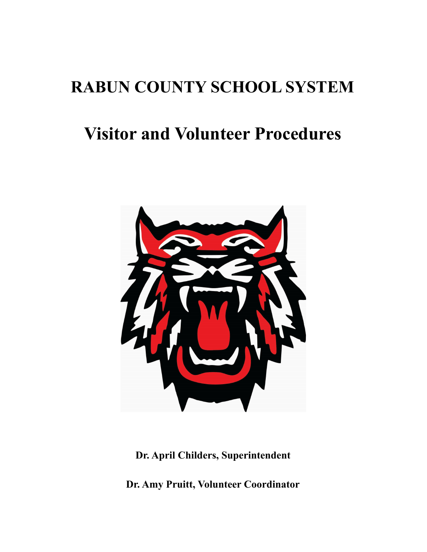# **RABUN COUNTY SCHOOL SYSTEM**

# **Visitor and Volunteer Procedures**



**Dr. April Childers, Superintendent**

**Dr. Amy Pruitt, Volunteer Coordinator**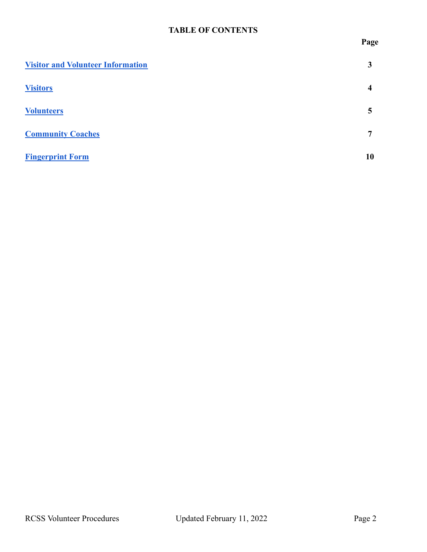## **TABLE OF CONTENTS**

**Page**

| <b>Visitor and Volunteer Information</b> | 3  |
|------------------------------------------|----|
| <b>Visitors</b>                          | 4  |
| <b>Volunteers</b>                        | 5  |
| <b>Community Coaches</b>                 | ៗ  |
| <b>Fingerprint Form</b>                  | 10 |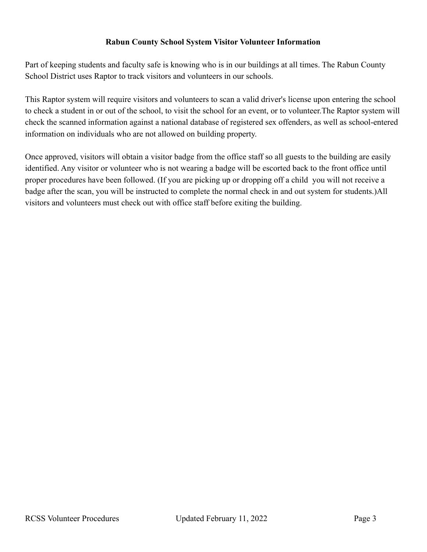#### **Rabun County School System Visitor Volunteer Information**

<span id="page-2-0"></span>Part of keeping students and faculty safe is knowing who is in our buildings at all times. The Rabun County School District uses Raptor to track visitors and volunteers in our schools.

This Raptor system will require visitors and volunteers to scan a valid driver's license upon entering the school to check a student in or out of the school, to visit the school for an event, or to volunteer.The Raptor system will check the scanned information against a national database of registered sex offenders, as well as school-entered information on individuals who are not allowed on building property.

Once approved, visitors will obtain a visitor badge from the office staff so all guests to the building are easily identified. Any visitor or volunteer who is not wearing a badge will be escorted back to the front office until proper procedures have been followed. (If you are picking up or dropping off a child you will not receive a badge after the scan, you will be instructed to complete the normal check in and out system for students.)All visitors and volunteers must check out with office staff before exiting the building.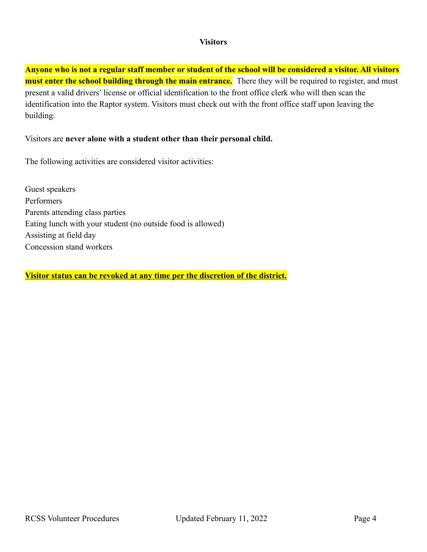#### **Visitors**

<span id="page-3-0"></span>**Anyone who is not a regular staff member or student of the school will be considered a visitor. All visitors must enter the school building through the main entrance.** There they will be required to register, and must present a valid drivers' license or official identification to the front office clerk who will then scan the identification into the Raptor system. Visitors must check out with the front office staff upon leaving the building.

#### Visitors are **never alone with a student other than their personal child.**

The following activities are considered visitor activities:

Guest speakers Performers Parents attending class parties Eating lunch with your student (no outside food is allowed) Assisting at field day Concession stand workers

**Visitor status can be revoked at any time per the discretion of the district.**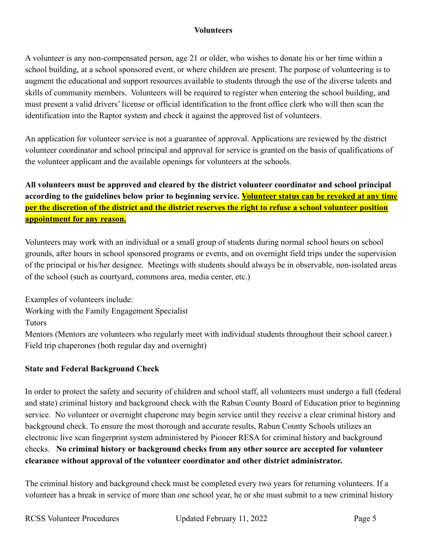#### **Volunteers**

<span id="page-4-0"></span>A volunteer is any non-compensated person, age 21 or older, who wishes to donate his or her time within a school building, at a school sponsored event, or where children are present. The purpose of volunteering is to augment the educational and support resources available to students through the use of the diverse talents and skills of community members. Volunteers will be required to register when entering the school building, and must present a valid drivers' license or official identification to the front office clerk who will then scan the identification into the Raptor system and check it against the approved list of volunteers.

An application for volunteer service is not a guarantee of approval. Applications are reviewed by the district volunteer coordinator and school principal and approval for service is granted on the basis of qualifications of the volunteer applicant and the available openings for volunteers at the schools.

# **All volunteers must be approved and cleared by the district volunteer coordinator and school principal according to the guidelines below prior to beginning service. Volunteer status can be revoked at any time per the discretion of the district and the district reserves the right to refuse a school volunteer position appointment for any reason.**

Volunteers may work with an individual or a small group of students during normal school hours on school grounds, after hours in school sponsored programs or events, and on overnight field trips under the supervision of the principal or his/her designee. Meetings with students should always be in observable, non-isolated areas of the school (such as courtyard, commons area, media center, etc.)

Examples of volunteers include:

Working with the Family Engagement Specialist

**Tutors** 

Mentors (Mentors are volunteers who regularly meet with individual students throughout their school career.) Field trip chaperones (both regular day and overnight)

### **State and Federal Background Check**

In order to protect the safety and security of children and school staff, all volunteers must undergo a full (federal and state) criminal history and background check with the Rabun County Board of Education prior to beginning service. No volunteer or overnight chaperone may begin service until they receive a clear criminal history and background check. To ensure the most thorough and accurate results, Rabun County Schools utilizes an electronic live scan fingerprint system administered by Pioneer RESA for criminal history and background checks. **No criminal history or background checks from any other source are accepted for volunteer clearance without approval of the volunteer coordinator and other district administrator.**

The criminal history and background check must be completed every two years for returning volunteers. If a volunteer has a break in service of more than one school year, he or she must submit to a new criminal history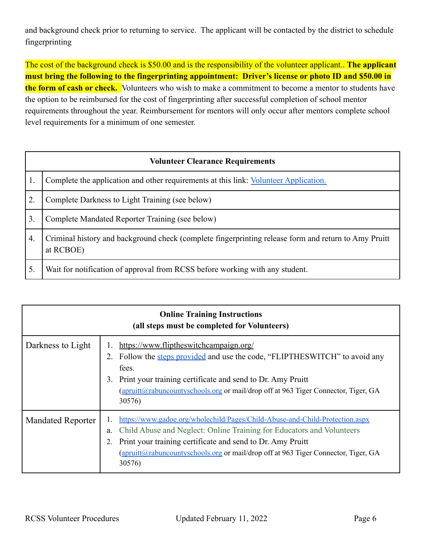and background check prior to returning to service. The applicant will be contacted by the district to schedule fingerprinting

The cost of the background check is \$50.00 and is the responsibility of the volunteer applicant.. **The applicant must bring the following to the fingerprinting appointment: Driver's license or photo ID and \$50.00 in the form of cash or check.** Volunteers who wish to make a commitment to become a mentor to students have the option to be reimbursed for the cost of fingerprinting after successful completion of school mentor requirements throughout the year. Reimbursement for mentors will only occur after mentors complete school level requirements for a minimum of one semester.

|                  | <b>Volunteer Clearance Requirements</b>                                                                           |  |  |  |  |  |  |  |  |
|------------------|-------------------------------------------------------------------------------------------------------------------|--|--|--|--|--|--|--|--|
|                  | Complete the application and other requirements at this link: Volunteer Application.                              |  |  |  |  |  |  |  |  |
| $\overline{2}$ . | Complete Darkness to Light Training (see below)                                                                   |  |  |  |  |  |  |  |  |
| 3.               | Complete Mandated Reporter Training (see below)                                                                   |  |  |  |  |  |  |  |  |
| $\overline{4}$   | Criminal history and background check (complete fingerprinting release form and return to Amy Pruitt<br>at RCBOE) |  |  |  |  |  |  |  |  |
| 5.               | Wait for notification of approval from RCSS before working with any student.                                      |  |  |  |  |  |  |  |  |

| <b>Online Training Instructions</b><br>(all steps must be completed for Volunteers) |                                                                                                                                                                                                                                                                                                                           |  |  |  |  |  |  |  |  |
|-------------------------------------------------------------------------------------|---------------------------------------------------------------------------------------------------------------------------------------------------------------------------------------------------------------------------------------------------------------------------------------------------------------------------|--|--|--|--|--|--|--|--|
| Darkness to Light                                                                   | https://www.fliptheswitchcampaign.org/<br>Follow the steps provided and use the code, "FLIPTHESWITCH" to avoid any<br>2.<br>fees.<br>Print your training certificate and send to Dr. Amy Pruitt<br>3.<br>(apruitt@rabuncountyschools.org or mail/drop off at 963 Tiger Connector, Tiger, GA<br>30576)                     |  |  |  |  |  |  |  |  |
| <b>Mandated Reporter</b>                                                            | https://www.gadoe.org/wholechild/Pages/Child-Abuse-and-Child-Protection.aspx<br>Child Abuse and Neglect: Online Training for Educators and Volunteers<br>a.<br>Print your training certificate and send to Dr. Amy Pruitt<br>(apruitt@rabuncountyschools.org or mail/drop off at 963 Tiger Connector, Tiger, GA<br>30576) |  |  |  |  |  |  |  |  |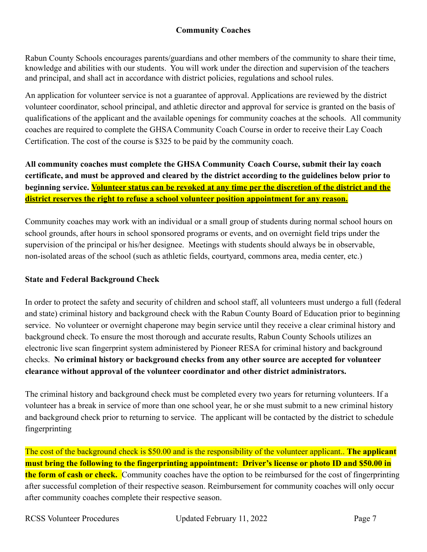### **Community Coaches**

<span id="page-6-0"></span>Rabun County Schools encourages parents/guardians and other members of the community to share their time, knowledge and abilities with our students. You will work under the direction and supervision of the teachers and principal, and shall act in accordance with district policies, regulations and school rules.

An application for volunteer service is not a guarantee of approval. Applications are reviewed by the district volunteer coordinator, school principal, and athletic director and approval for service is granted on the basis of qualifications of the applicant and the available openings for community coaches at the schools. All community coaches are required to complete the GHSA Community Coach Course in order to receive their Lay Coach Certification. The cost of the course is \$325 to be paid by the community coach.

**All community coaches must complete the GHSA Community Coach Course, submit their lay coach certificate, and must be approved and cleared by the district according to the guidelines below prior to beginning service. Volunteer status can be revoked at any time per the discretion of the district and the district reserves the right to refuse a school volunteer position appointment for any reason.**

Community coaches may work with an individual or a small group of students during normal school hours on school grounds, after hours in school sponsored programs or events, and on overnight field trips under the supervision of the principal or his/her designee. Meetings with students should always be in observable, non-isolated areas of the school (such as athletic fields, courtyard, commons area, media center, etc.)

#### **State and Federal Background Check**

In order to protect the safety and security of children and school staff, all volunteers must undergo a full (federal and state) criminal history and background check with the Rabun County Board of Education prior to beginning service. No volunteer or overnight chaperone may begin service until they receive a clear criminal history and background check. To ensure the most thorough and accurate results, Rabun County Schools utilizes an electronic live scan fingerprint system administered by Pioneer RESA for criminal history and background checks. **No criminal history or background checks from any other source are accepted for volunteer clearance without approval of the volunteer coordinator and other district administrators.**

The criminal history and background check must be completed every two years for returning volunteers. If a volunteer has a break in service of more than one school year, he or she must submit to a new criminal history and background check prior to returning to service. The applicant will be contacted by the district to schedule fingerprinting

The cost of the background check is \$50.00 and is the responsibility of the volunteer applicant.. **The applicant must bring the following to the fingerprinting appointment: Driver's license or photo ID and \$50.00 in the form of cash or check.** Community coaches have the option to be reimbursed for the cost of fingerprinting after successful completion of their respective season. Reimbursement for community coaches will only occur after community coaches complete their respective season.

RCSS Volunteer Procedures Updated February 11, 2022 Page 7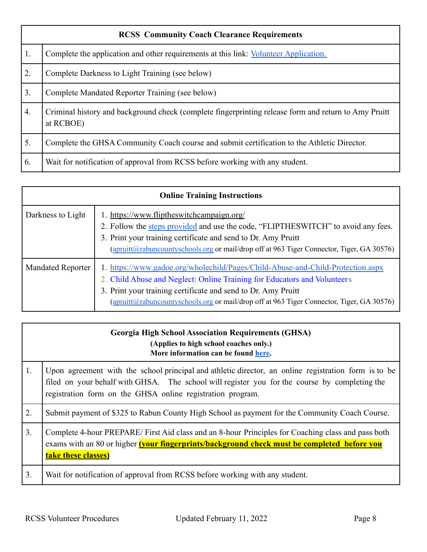|                  | <b>RCSS Community Coach Clearance Requirements</b>                                                                |  |  |  |  |  |  |  |  |
|------------------|-------------------------------------------------------------------------------------------------------------------|--|--|--|--|--|--|--|--|
| $\vert$ 1.       | Complete the application and other requirements at this link: Volunteer Application.                              |  |  |  |  |  |  |  |  |
| $\vert 2. \vert$ | Complete Darkness to Light Training (see below)                                                                   |  |  |  |  |  |  |  |  |
| $\vert 3. \vert$ | Complete Mandated Reporter Training (see below)                                                                   |  |  |  |  |  |  |  |  |
| 4.               | Criminal history and background check (complete fingerprinting release form and return to Amy Pruitt<br>at RCBOE) |  |  |  |  |  |  |  |  |
| 5.               | Complete the GHSA Community Coach course and submit certification to the Athletic Director.                       |  |  |  |  |  |  |  |  |
| 6.               | Wait for notification of approval from RCSS before working with any student.                                      |  |  |  |  |  |  |  |  |

| <b>Online Training Instructions</b> |                                                                                                                                                                                                                                                                                                                           |  |  |  |  |  |  |  |
|-------------------------------------|---------------------------------------------------------------------------------------------------------------------------------------------------------------------------------------------------------------------------------------------------------------------------------------------------------------------------|--|--|--|--|--|--|--|
| Darkness to Light                   | 1. https://www.fliptheswitchcampaign.org/<br>2. Follow the steps provided and use the code, "FLIPTHESWITCH" to avoid any fees.<br>3. Print your training certificate and send to Dr. Amy Pruitt<br>(apruitt@rabuncountyschools.org or mail/drop off at 963 Tiger Connector, Tiger, GA 30576)                              |  |  |  |  |  |  |  |
| <b>Mandated Reporter</b>            | 1. https://www.gadoe.org/wholechild/Pages/Child-Abuse-and-Child-Protection.aspx<br>2. Child Abuse and Neglect: Online Training for Educators and Volunteers<br>3. Print your training certificate and send to Dr. Amy Pruitt<br>(apruitt@rabuncountyschools.org or mail/drop off at 963 Tiger Connector, Tiger, GA 30576) |  |  |  |  |  |  |  |

|    | <b>Georgia High School Association Requirements (GHSA)</b><br>(Applies to high school coaches only.)<br>More information can be found here.                                                                                                                         |
|----|---------------------------------------------------------------------------------------------------------------------------------------------------------------------------------------------------------------------------------------------------------------------|
| 1. | Upon agreement with the school principal and athletic director, an online registration form is to be<br>filed on your behalf with GHSA. The school will register you for the course by completing the<br>registration form on the GHSA online registration program. |
| 2. | Submit payment of \$325 to Rabun County High School as payment for the Community Coach Course.                                                                                                                                                                      |
| 3. | Complete 4-hour PREPARE/First Aid class and an 8-hour Principles for Coaching class and pass both<br>exams with an 80 or higher (your fingerprints/background check must be completed before you<br>take these classes)                                             |
| 3. | Wait for notification of approval from RCSS before working with any student.                                                                                                                                                                                        |